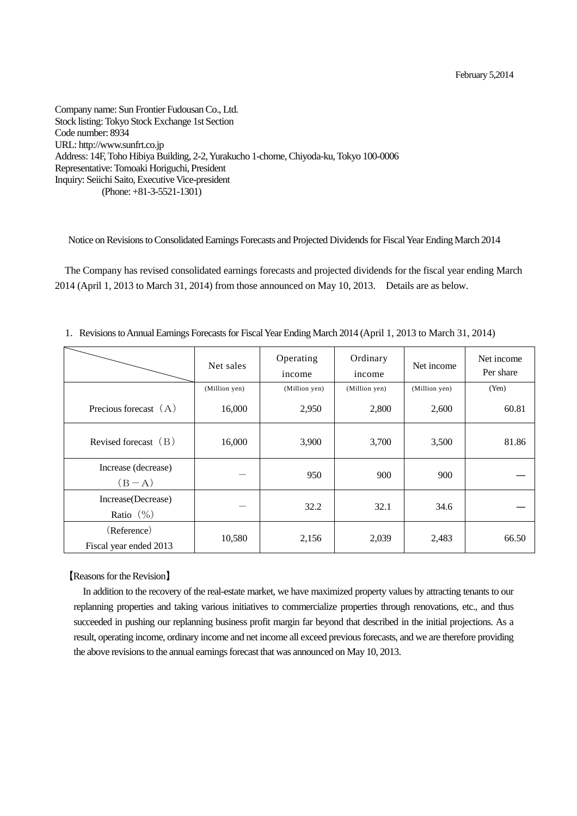Company name: Sun Frontier Fudousan Co., Ltd. Stock listing: Tokyo Stock Exchange 1st Section Code number: 8934 URL: http://www.sunfrt.co.jp Address: 14F, Toho Hibiya Building, 2-2, Yurakucho 1-chome, Chiyoda-ku, Tokyo 100-0006 Representative: Tomoaki Horiguchi, President Inquiry: Seiichi Saito, Executive Vice-president (Phone: +81-3-5521-1301)

Notice on Revisions to Consolidated Earnings Forecasts and Projected Dividends for Fiscal Year Ending March 2014

The Company has revised consolidated earnings forecasts and projected dividends for the fiscal year ending March 2014 (April 1, 2013 to March 31, 2014) from those announced on May 10, 2013. Details are as below.

|                                       | Net sales     | Operating<br>income | Ordinary<br>income | Net income    | Net income<br>Per share |
|---------------------------------------|---------------|---------------------|--------------------|---------------|-------------------------|
|                                       | (Million yen) | (Million yen)       | (Million yen)      | (Million yen) | (Yen)                   |
| Precious forecast $(A)$               | 16,000        | 2,950               | 2,800              | 2,600         | 60.81                   |
| Revised forecast $(B)$                | 16,000        | 3,900               | 3,700              | 3,500         | 81.86                   |
| Increase (decrease)<br>$(B-A)$        |               | 950                 | 900                | 900           |                         |
| Increase(Decrease)<br>Ratio $(\% )$   |               | 32.2                | 32.1               | 34.6          |                         |
| (Reference)<br>Fiscal year ended 2013 | 10,580        | 2,156               | 2,039              | 2,483         | 66.50                   |

1.Revisions to Annual Earnings Forecasts for Fiscal Year Ending March 2014 (April 1, 2013 to March 31, 2014)

## 【Reasons for the Revision】

In addition to the recovery of the real-estate market, we have maximized property values by attracting tenants to our replanning properties and taking various initiatives to commercialize properties through renovations, etc., and thus succeeded in pushing our replanning business profit margin far beyond that described in the initial projections. As a result, operating income, ordinary income and net income all exceed previous forecasts, and we are therefore providing the above revisions to the annual earnings forecast that was announced on May 10, 2013.